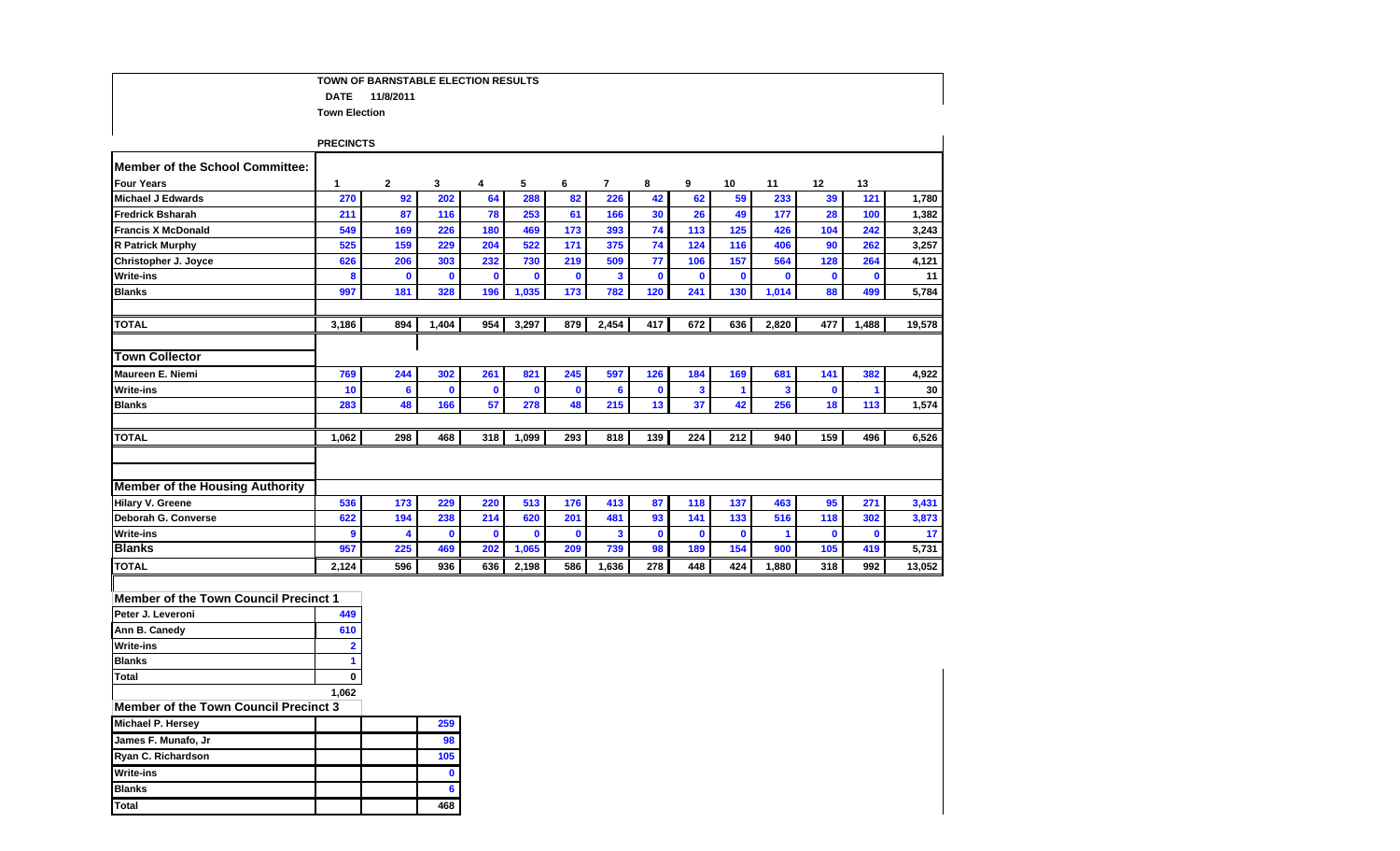## **TOWN OF BARNSTABLE ELECTION RESULTS DATE 11/8/2011 Town Election**

|                                        | <b>PRECINCTS</b> |              |              |              |              |              |       |              |              |          |                         |              |             |        |
|----------------------------------------|------------------|--------------|--------------|--------------|--------------|--------------|-------|--------------|--------------|----------|-------------------------|--------------|-------------|--------|
| <b>Member of the School Committee:</b> |                  |              |              |              |              |              |       |              |              |          |                         |              |             |        |
| <b>Four Years</b>                      | 1                | $\mathbf{2}$ | 3            | 4            | 5            | 6            | 7     | 8            | 9            | 10       | 11                      | 12           | 13          |        |
| <b>Michael J Edwards</b>               | 270              | 92           | 202          | 64           | 288          | 82           | 226   | 42           | 62           | 59       | 233                     | 39           | 121         | 1,780  |
| <b>Fredrick Bsharah</b>                | 211              | 87           | 116          | 78           | 253          | 61           | 166   | 30           | 26           | 49       | 177                     | 28           | 100         | 1,382  |
| <b>Francis X McDonald</b>              | 549              | 169          | 226          | 180          | 469          | 173          | 393   | 74           | 113          | 125      | 426                     | 104          | 242         | 3,243  |
| <b>R Patrick Murphy</b>                | 525              | 159          | 229          | 204          | 522          | 171          | 375   | 74           | 124          | 116      | 406                     | 90           | 262         | 3,257  |
| Christopher J. Joyce                   | 626              | 206          | 303          | 232          | 730          | 219          | 509   | 77           | 106          | 157      | 564                     | 128          | 264         | 4,121  |
| <b>Write-ins</b>                       | 8                | $\mathbf 0$  | $\mathbf 0$  | $\mathbf 0$  | $\mathbf 0$  | $\mathbf{0}$ | 3     | $\mathbf 0$  | $\mathbf{0}$ | $\bf{0}$ | $\bf{0}$                | $\mathbf 0$  | $\mathbf 0$ | 11     |
| <b>Blanks</b>                          | 997              | 181          | 328          | 196          | 1,035        | 173          | 782   | 120          | 241          | 130      | 1,014                   | 88           | 499         | 5,784  |
| <b>TOTAL</b>                           | 3,186            | 894          | 1,404        | 954          | 3,297        | 879          | 2,454 | 417          | 672          | 636      | 2,820                   | 477          | 1,488       | 19,578 |
| <b>Town Collector</b>                  |                  |              |              |              |              |              |       |              |              |          |                         |              |             |        |
| Maureen E. Niemi                       | 769              | 244          | 302          | 261          | 821          | 245          | 597   | 126          | 184          | 169      | 681                     | 141          | 382         | 4,922  |
| <b>Write-ins</b>                       | 10               | 6            | $\mathbf{0}$ | $\mathbf{0}$ | $\mathbf{0}$ | $\mathbf{0}$ | 6     | $\bf{0}$     | 3            | 1        | $\overline{\mathbf{3}}$ | $\mathbf{0}$ |             | 30     |
| <b>Blanks</b>                          | 283              | 48           | 166          | 57           | 278          | 48           | 215   | 13           | 37           | 42       | 256                     | 18           | 113         | 1,574  |
| <b>TOTAL</b>                           | 1,062            | 298          | 468          | 318          | 1,099        | 293          | 818   | 139          | 224          | 212      | 940                     | 159          | 496         | 6,526  |
|                                        |                  |              |              |              |              |              |       |              |              |          |                         |              |             |        |
|                                        |                  |              |              |              |              |              |       |              |              |          |                         |              |             |        |
| <b>Member of the Housing Authority</b> |                  |              |              |              |              |              |       |              |              |          |                         |              |             |        |
| <b>Hilary V. Greene</b>                | 536              | 173          | 229          | 220          | 513          | 176          | 413   | 87           | 118          | 137      | 463                     | 95           | 271         | 3,431  |
| Deborah G. Converse                    | 622              | 194          | 238          | 214          | 620          | 201          | 481   | 93           | 141          | 133      | 516                     | 118          | 302         | 3,873  |
| <b>Write-ins</b>                       | 9                | 4            | $\mathbf 0$  | $\mathbf{0}$ | $\mathbf{0}$ | $\mathbf{0}$ | 3     | $\mathbf{0}$ | $\mathbf{0}$ | $\bf{0}$ | 1                       | $\mathbf{0}$ | $\bf{0}$    | 17     |
| <b>Blanks</b>                          | 957              | 225          | 469          | 202          | 1,065        | 209          | 739   | 98           | 189          | 154      | 900                     | 105          | 419         | 5,731  |
| <b>TOTAL</b>                           | 2.124            | 596          | 936          | 636          | 2,198        | 586          | 1.636 | 278          | 448          | 424      | 1.880                   | 318          | 992         | 13,052 |

#### **Member of the Town Council Precinct 1**

| Peter J. Leveroni | 449   |
|-------------------|-------|
| Ann B. Canedy     | 610   |
| <b>Write-ins</b>  |       |
| <b>Blanks</b>     |       |
| Total             |       |
|                   | 1.062 |

## **Member of the Town Council Precinct 3**

| <b>Michael P. Hersey</b> |  | 259 |
|--------------------------|--|-----|
| James F. Munafo, Jr      |  | 98  |
| Ryan C. Richardson       |  | 105 |
| <b>Write-ins</b>         |  |     |
| <b>Blanks</b>            |  |     |
| Total                    |  | 168 |